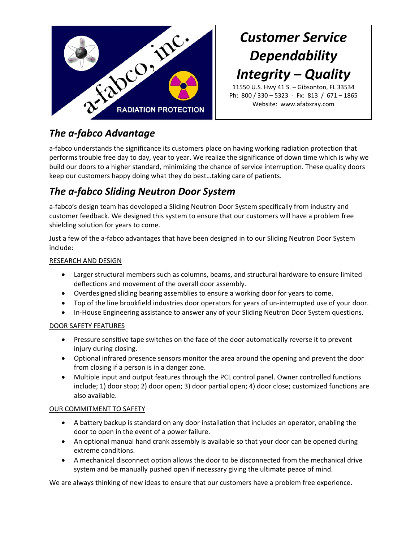

## *Customer Service Dependability Integrity – Quality*

11550 U.S. Hwy 41 S. – Gibsonton, FL 33534 Ph: 800 / 330 – 5323 ‐ Fx: 813 / 671 – 1865 Website: www.afabxray.com

### *The a‐fabco Advantage*

a-fabco understands the significance its customers place on having working radiation protection that performs trouble free day to day, year to year. We realize the significance of down time which is why we build our doors to a higher standard, minimizing the chance of service interruption. These quality doors keep our customers happy doing what they do best…taking care of patients.

### *The a‐fabco Sliding Neutron Door System*

a-fabco's design team has developed a Sliding Neutron Door System specifically from industry and customer feedback. We designed this system to ensure that our customers will have a problem free shielding solution for years to come.

Just a few of the a‐fabco advantages that have been designed in to our Sliding Neutron Door System include:

#### RESEARCH AND DESIGN

- Larger structural members such as columns, beams, and structural hardware to ensure limited deflections and movement of the overall door assembly.
- Overdesigned sliding bearing assemblies to ensure a working door for years to come.
- Top of the line brookfield industries door operators for years of un-interrupted use of your door.
- In‐House Engineering assistance to answer any of your Sliding Neutron Door System questions.

#### DOOR SAFETY FEATURES

- Pressure sensitive tape switches on the face of the door automatically reverse it to prevent injury during closing.
- Optional infrared presence sensors monitor the area around the opening and prevent the door from closing if a person is in a danger zone.
- Multiple input and output features through the PCL control panel. Owner controlled functions include; 1) door stop; 2) door open; 3) door partial open; 4) door close; customized functions are also available.

#### OUR COMMITMENT TO SAFETY

- A battery backup is standard on any door installation that includes an operator, enabling the door to open in the event of a power failure.
- An optional manual hand crank assembly is available so that your door can be opened during extreme conditions.
- A mechanical disconnect option allows the door to be disconnected from the mechanical drive system and be manually pushed open if necessary giving the ultimate peace of mind.

We are always thinking of new ideas to ensure that our customers have a problem free experience.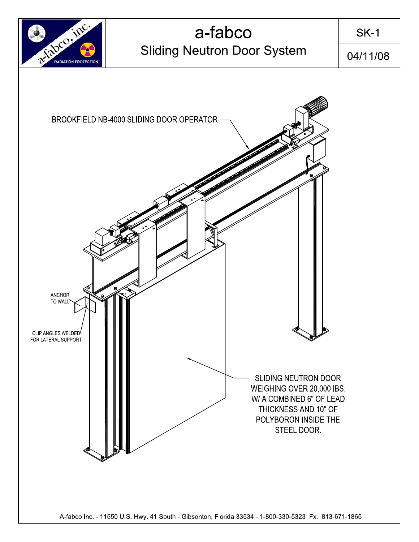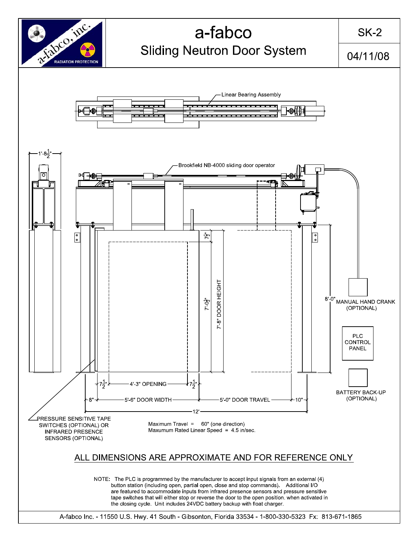

## a-fabco **Sliding Neutron Door System**

 $SK-2$ 

04/11/08



A-fabco Inc. - 11550 U.S. Hwy. 41 South - Gibsonton, Florida 33534 - 1-800-330-5323 Fx: 813-671-1865